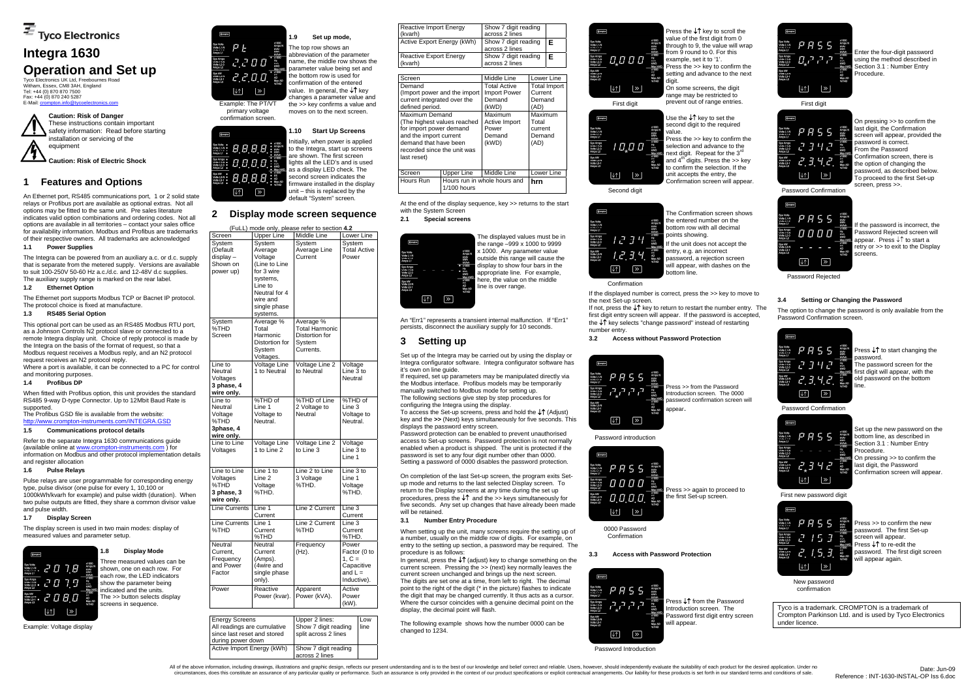Tyco Electronics UK Ltd, Freebournes Road Witham, Essex, CM8 3AH, England Tel: +44 (0) 870 870 7500 Fax: +44 (0) 870 240 5287 E-Mail: crompton.info@ty



# **Integra 1630 Operation and Set up**

The Integra can be powered from an auxiliary a.c. or d.c. supply that is separate from the metered supply. Versions are available to suit 100-250V 50-60 Hz a.c./d.c. and 12-48V d.c supplies. The auxiliary supply range is marked on the rear label.

# **1 Features and Options**

An Ethernet port, RS485 communications port, 1 or 2 solid state relays or Profibus port are available as optional extras. Not all options may be fitted to the same unit. Pre sales literature indicates valid option combinations and ordering codes. Not all options are available in all territories – contact your sales office for availability information. Modbus and Profibus are trademarks of their respective owners. All trademarks are acknowledged

# **1.1 Power Supplies**

# **1.2 Ethernet Option**

The Ethernet port supports Modbus TCP or Bacnet IP protocol. The protocol choice is fixed at manufacture.

#### **1.3 RS485 Serial Option**

This optional port can be used as an RS485 Modbus RTU port, as a Johnson Controls N2 protocol slave or connected to a remote Integra display unit. Choice of reply protocol is made by the Integra on the basis of the format of request, so that a Modbus request receives a Modbus reply, and an N2 protocol request receives an N2 protocol reply.

Where a port is available, it can be connected to a PC for control and monitoring purposes.

### **1.4 Profibus DP**

When fitted with Profibus option, this unit provides the standard RS485 9-way D-type Connector. Up to 12Mbit Baud Rate is supported.

# The Profibus GSD file is available from the website:

http://www.crompton-instruments.com/INTEGRA.GSD

# **1.5 Communications protocol details**

Refer to the separate Integra 1630 communications guide (available online at www.crompton-instruments.com ) for information on Modbus and other protocol implementation details and register allocation

# **1.6 Pulse Relays**

Pulse relays are user programmable for corresponding energy type, pulse divisor (one pulse for every 1, 10,100 or 1000kWh/kvarh for example) and pulse width (duration). When two pulse outputs are fitted, they share a common divisor value and pulse width.

#### **1.7 Display Screen**

The display screen is used in two main modes: display of measured values and parameter setup.

Example: Voltage display



 $rac{Hz}{kVA}$ 



**1.8 Display Mode** 

Three measured values can be shown, one on each row. For each row, the LED indicators show the parameter being indicated and the units. The >> button selects display screens in sequence.

Example: The PT/VT primary voltage confirmation screen.

**AAAA** 

8888

8888

 $\overline{\mathscr{C}}$ 

 $\sqrt{2}$ 

**Compton** 

# **1.9 Set up mode,**  The top row shows an

abbreviation of the parameter name, the middle row shows the parameter value being set and the bottom row is used for confirmation of the entered value. In general, the ↓↑ kev changes a parameter value and the >> key confirms a value and moves on to the next screen.

# **1.10 Start Up Screens**

Initially, when power is applied to the Integra, start up screens are shown. The first screen lights all the LED's and is used as a display LED check. The second screen indicates the firmware installed in the display unit – this is replaced by the default "System" screen.

# **2 Display mode screen sequence**

When setting up the unit, many screens require the setting up of a number, usually on the middle row of digits. For example, on entry to the setting up section, a password may be required. The procedure is as follows:

Press the ↓↑ key to scroll the value of the first digit from 0 through to 9, the value will wrap from 9 round to 0. For this example, set it to '1'. Press the >> key to confirm the setting and advance to the next

|                            |                     | (FuLL) mode only, please refer to section 4.2 |                     |
|----------------------------|---------------------|-----------------------------------------------|---------------------|
| Screen                     | <b>Upper Line</b>   | Middle Line                                   | Lower Line          |
| System                     | System              | System                                        | System              |
| (Default                   | Average             | Average Line                                  | <b>Total Active</b> |
| display-                   | Voltage             | Current                                       | Power               |
| Shown on                   | (Line to Line       |                                               |                     |
| power up)                  | for 3 wire          |                                               |                     |
|                            | systems,            |                                               |                     |
|                            | Line to             |                                               |                     |
|                            | Neutral for 4       |                                               |                     |
|                            |                     |                                               |                     |
|                            | wire and            |                                               |                     |
|                            | single phase        |                                               |                     |
|                            | systems.            |                                               |                     |
| System                     | Average %           | Average %                                     |                     |
| %THD                       | Total               | <b>Total Harmonic</b>                         |                     |
| Screen                     | Harmonic            | Distortion for                                |                     |
|                            | Distortion for      | System                                        |                     |
|                            | System              | Currents.                                     |                     |
|                            | Voltages.           |                                               |                     |
| Line to                    | Voltage Line        | Voltage Line 2                                | Voltage             |
| Neutral                    | 1 to Neutral        | to Neutral                                    | Line 3 to           |
| Voltages                   |                     |                                               | Neutral             |
| 3 phase, 4                 |                     |                                               |                     |
| wire only.                 |                     |                                               |                     |
| Line to                    | %THD of             | %THD of Line                                  | %THD of             |
| Neutral                    | Line 1              | 2 Voltage to                                  | Line 3              |
| Voltage                    | Voltage to          | Neutral                                       | Voltage to          |
| %THD                       | Neutral.            |                                               | Neutral.            |
| 3phase, 4                  |                     |                                               |                     |
|                            |                     |                                               |                     |
| wire only.<br>Line to Line | <b>Voltage Line</b> |                                               |                     |
|                            | 1 to Line 2         | Voltage Line 2<br>to Line 3                   | Voltage             |
| Voltages                   |                     |                                               | Line 3 to           |
|                            |                     |                                               | Line 1              |
|                            | Line 1 to           | Line 2 to Line                                | Line 3 to           |
| Line to Line               |                     |                                               |                     |
| Voltages                   | Line <sub>2</sub>   | 3 Voltage                                     | Line 1              |
| %THD                       | Voltage             | %THD.                                         | Voltage             |
| 3 phase, 3                 | %THD.               |                                               | %THD.               |
| wire only.                 |                     |                                               |                     |
| <b>Line Currents</b>       | Line 1              | Line 2 Current                                | Line 3              |
|                            | Current             |                                               | Current             |
| <b>Line Currents</b>       | Line 1              | Line 2 Current                                | Line 3              |
| %THD                       | Current             | %THD                                          | Current             |
|                            | %THD                |                                               | %THD.               |
| Neutral                    | Neutral             | Frequency                                     | Power               |
| Current,                   | Current             | (Hz).                                         | Factor (0 to        |
| Frequency                  | (Amps).             |                                               | $1, C =$            |
| and Power                  | (4wire and          |                                               | Capacitive          |
| Factor                     | single phase        |                                               | and $L =$           |
|                            |                     |                                               | Inductive).         |
|                            | only).              |                                               |                     |
| Power                      | Reactive            | Apparent                                      | Active              |
|                            | Power (kvar).       | Power (kVA).                                  | Power               |
|                            |                     |                                               | (kW).               |
|                            |                     |                                               |                     |

**Compton** The Confirmation screen shows the entered number on the x1000<br>Amps N<br>kVAr<br>kWh bottom row with all decimal kVArh<br>x1000<br>Hz<br>kVA<br>kWD points showing. Sys Amps<br>Volts L2-N<br>Volts L2-3<br>Amps L2  $1234$ If the unit does not accept the  $\begin{array}{r}\n\text{Max KW} \\
\times 1000 \\
\text{PE.} \\
\text{AD} \\
\textrm{Max AD} \\
\times 1\text{HD}\n\end{array}$ entry, e.g. an incorrect  $1234$ password, a rejection screen will appear, with dashes on the  $\triangleright$  $\sqrt{ }$ bottom line.

> Press ↓↑ from the Password Introduction screen. The Password first digit entry screen will appear

Enter the four-digit password<br>  $\frac{1}{\text{R}}$ <br>  $\frac{1}{\text{R}}$ <br>  $\frac{1}{\text{R}}$ <br>  $\frac{1}{\text{R}}$ <br>  $\frac{1}{\text{R}}$ <br>  $\frac{1}{\text{R}}$ <br>  $\frac{1}{\text{R}}$ <br>  $\frac{1}{\text{R}}$ <br>  $\frac{1}{\text{R}}$ <br>  $\frac{1}{\text{R}}$ <br>  $\frac{1}{\text{R}}$ <br>  $\frac{1}{\text{R}}$ <br>  $\frac{1}{\text{R}}$ <br>  $\frac{1}{\text$ using the method described in Section 3.1 : Number Entry Procedure.

X1000<br>Amps N<br>KWAr<br>KWAr<br>KWAR<br>Max KWD<br>Max AD<br>PE<br>AL MAX AD<br>ME<br>NHTHD<br>STHD<br>NHTHD<br>STHD  $P$   $B$  5 5 2342  $2.3.42$ 

| <b>Energy Screens</b><br>All readings are cumulative<br>since last reset and stored<br>during power down | Upper 2 lines:<br>Show 7 digit reading<br>split across 2 lines | Low<br>line |
|----------------------------------------------------------------------------------------------------------|----------------------------------------------------------------|-------------|
| Active Import Energy (kWh)                                                                               | Show 7 digit reading<br>across 2 lines                         |             |

Press >> to confirm the new password. The first Set-up screen will appear. Press ↓↑ to re-edit the password. The first digit screen will appear again.

| Reactive Import Energy<br>(kvarh)                                                                                                                                                                                                                                      |             | Show 7 digit reading<br>across 2 lines                                                                                                                                                                       |     |            |
|------------------------------------------------------------------------------------------------------------------------------------------------------------------------------------------------------------------------------------------------------------------------|-------------|--------------------------------------------------------------------------------------------------------------------------------------------------------------------------------------------------------------|-----|------------|
| Active Export Energy (kWh)                                                                                                                                                                                                                                             |             | Show 7 digit reading<br>across 2 lines                                                                                                                                                                       |     | Е          |
| <b>Reactive Export Energy</b><br>(kvarh)                                                                                                                                                                                                                               |             | F<br>Show 7 digit reading<br>across 2 lines                                                                                                                                                                  |     |            |
| Screen                                                                                                                                                                                                                                                                 |             | Middle Line                                                                                                                                                                                                  |     | Lower Line |
| Demand<br>(Import power and the import)<br>current integrated over the<br>defined period.<br>Maximum Demand<br>(The highest values reached<br>for import power demand<br>and the import current<br>demand that have been<br>recorded since the unit was<br>last reset) |             | Total Active<br>Total Import<br>Current<br><b>Import Power</b><br>Demand<br>Demand<br>(kWD)<br>(AD)<br>Maximum<br>Maximum<br>Active Import<br>Total<br>Power<br>current<br>Demand<br>Demand<br>(kWD)<br>(AD) |     |            |
| Screen<br>Hours Run                                                                                                                                                                                                                                                    | Upper Line  | Middle Line<br>Hours run in whole hours and                                                                                                                                                                  | hrn | Lower Line |
|                                                                                                                                                                                                                                                                        | 1/100 hours |                                                                                                                                                                                                              |     |            |

At the end of the display sequence, key >> returns to the start with the System Screen

**2.1 Special screens** 



The displayed values must be in the range –999 x 1000 to 9999 x 1000. Any parameter value outside this range will cause the display to show four bars in the appropriate line. For example, here, the value on the middle line is over range.

An "Err1" represents a transient internal malfunction. If "Err1" persists, disconnect the auxiliary supply for 10 seconds.

# **3 Setting up**

Set up of the Integra may be carried out by using the display or Integra configurator software. Integra configurator software has it's own on line guide.

If required, set up parameters may be manipulated directly via the Modbus interface. Profibus models may be temporarily manually switched to Modbus mode for setting up. The following sections give step by step procedures for

configuring the Integra using the display. To access the Set-up screens, press and hold the ↓↑ (Adjust)

key and the **>>** (Next) keys simultaneously for five seconds. This displays the password entry screen.

Password protection can be enabled to prevent unauthorised access to Set-up screens. Password protection is not normally enabled when a product is shipped. The unit is protected if the password is set to any four digit number other than 0000. Setting a password of 0000 disables the password protection.

On completion of the last Set-up screen, the program exits Setup mode and returns to the last selected Display screen. To return to the Display screens at any time during the set up procedures, press the ↓↑ and the >> keys simultaneously for five seconds. Any set up changes that have already been made will be retained.

# **3.1 Number Entry Procedure**

In general, press the ↓↑ (adjust) key to change something on the current screen. Pressing the >> (next) key normally leaves the current screen unchanged and brings up the next screen. The digits are set one at a time, from left to right. The decimal point to the right of the digit (\* in the picture) flashes to indicate the digit that may be changed currently. It thus acts as a cursor. Where the cursor coincides with a genuine decimal point on the display, the decimal point will flash.

The following example shows how the number 0000 can be changed to 1234.

On some screens, the digit range may be restricted to

Sys kW<br>volts L3-N<br>Volts L3-1

Sys Volts<br>Volts L1-N<br>Volto L1-2<br>Amno L1

Sys kw<br>Volts L3-P<br>Volts L3-1



Second digit

Use the ↓↑ key to set the second digit to the required Press the >> key to confirm the

selection and advance to the next digit. Repeat for the 3<sup>rd</sup> and  $4<sup>th</sup>$  digits. Press the >> key to confirm the selection. If the unit accepts the entry, the Confirmation screen will appear.

Confirmation If the displayed number is correct, press the >> key to move to

the next Set-up screen. If not, press the ↓↑ key to return to restart the number entry. The

first digit entry screen will appear. If the password is accepted, the ↓↑ key selects "change password" instead of restarting number entry.

**3.2 Access without Password Protection** 



Password introduction



Press >> from the Password Introduction screen. The 0000 password confirmation screen will appear.

0000 Password Confirmation

Press >> again to proceed to the first Set-up screen.

#### **3.3 Access with Password Protection**



Password Introduction

All of the above information, including drawings, illustrations and graphic design, reflects our present understanding and is to the best of our knowledge and belief correct and reliable. Users, however, should independent circumstances, does this constitute an assurance of any particular quality or performance. Such an assurance is only provided in the context of our product specifications or explicit contractual arrangements. Our liability

 $P$   $P$  5 5 יקיקיה וח Sys kW<br>Volts L3-N<br>Volts L3-1  $\boxed{\downarrow \uparrow}$   $\boxed{\gg}$ 

First digit

Password Confirmation

 $P$   $R$  5 5

0000

 $\triangleright$ 

 $\downarrow \uparrow$ 

**Compton** 

On pressing >> to confirm the

last digit, the Confirmation screen will appear, provided the password is correct. .<br>From the Password Confirmation screen, there is the option of changing the password, as described below. .<br>To proceed to the first Set-up screen, press >>.

Password Rejected

 $\downarrow \uparrow$ 

 $\triangleright$ 

If the password is incorrect, the Password Rejected screen will appear. Press ↓↑ to start a retry or >> to exit to the Display screens.

# **3.4 Setting or Changing the Password**

x1000<br>Amps N<br>KVAr<br>KVAr<br>X1000<br>Hz KVAD<br>Max KWD<br>AD<br>AD<br>AD<br>Max AD<br>WHD<br>AD<br>Max AD<br>WHD

The option to change the password is only available from the Password Confirmation screen.



Password Confirmation

Press ↓↑ to start changing the password.

The password screen for the first digit will appear, with the old password on the bottom line.

| <b>Compton</b>                                             |  |  |                                                   |
|------------------------------------------------------------|--|--|---------------------------------------------------|
| Sys Volts<br>Volts L1-N<br>Volto L1-2<br>Amps L1           |  |  | x1000<br>Amps N<br><b>KVAr</b><br>kWh<br>kVArh    |
| Sys Amps<br>Volts L2-N<br>Volts L2-3<br>Amps <sub>L2</sub> |  |  | x1000<br>Hz<br><b>KVA</b><br><b>KWD</b><br>Max kW |
| Sys KW<br>Volts L3-N<br>Volts L3-1<br>Amps L3              |  |  | x1000<br><b>P.E.</b><br>AD<br>Max AD<br>%THD      |
|                                                            |  |  |                                                   |

First new password digit



Set up the new password on the bottom line, as described in Section 3.1 . Number Entry Procedure. On pressing >> to confirm the last digit, the Password Confirmation screen will appear.

New password confirmation

Tyco is a trademark. CROMPTON is a trademark of Crompton Parkinson Ltd. and is used by Tyco Electronics under licence.

**Caution: Risk of Danger**  These instructions contain important safety information: Read before starting installation or servicing of the equipment

**Caution: Risk of Electric Shock**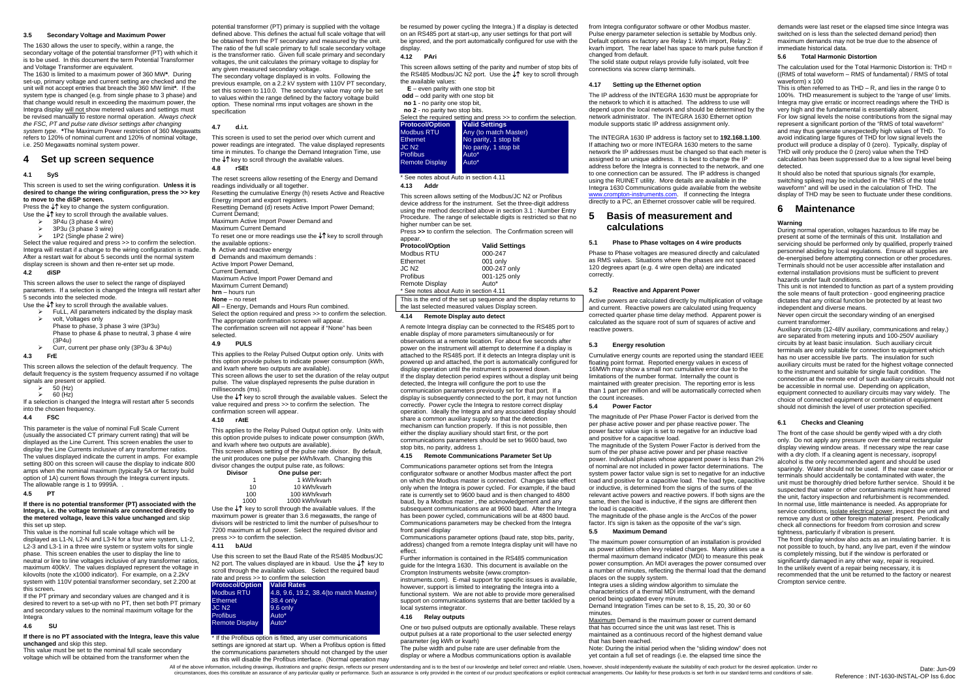# **3.5 Secondary Voltage and Maximum Power**

The 1630 allows the user to specify, within a range, the secondary voltage of the potential transformer (PT) with which it is to be used. In this document the term Potential Transformer and Voltage Transformer are equivalent.

1P2 (Single phase 2 wire) Select the value required and press >> to confirm the selection. Integra will restart if a change to the wiring configuration is made. After a restart wait for about 5 seconds until the normal system display screen is shown and then re-enter set up mode.

The 1630 is limited to a maximum power of 360 MW**\***. During set-up, primary voltage and current setting are checked and the unit will not accept entries that breach the 360 MW limit**\***. If the system type is changed (e.g. from single phase to 3 phase) and that change would result in exceeding the maximum power, the Integra display will not show metered values and settings must be revised manually to restore normal operation. *Always check the FSC, PT and pulse rate divisor settings after changing system type.* **\***The Maximum Power restriction of 360 Megawatts refers to 120% of nominal current and 120% of nominal voltage, i.e. 250 Megawatts nominal system power.

This screen allows the selection of the default frequency. The default frequency is the system frequency assumed if no voltage signals are present or applied.

- $\geqslant$  50 (Hz)
- $60$   $(Hz)$

This parameter is the value of nominal Full Scale Current (usually the associated CT primary current rating) that will be displayed as the Line Current. This screen enables the user to display the Line Currents inclusive of any transformer ratios. The values displayed indicate the current in amps. For example setting 800 on this screen will cause the display to indicate 800 amps when the nominal maximum (typically 5A or factory build option of 1A) current flows through the Integra current inputs. The allowable range is 1 to 9999A. .

# **4 Set up screen sequence**

# **4.1 SyS**

This screen is used to set the wiring configuration. **Unless it is desired to change the wiring configuration, press the >> key to move to the diSP screen.**

Press the ↓↑ key to change the system configuration. Use the ↓↑ key to scroll through the available values.

- $3P4u$  (3 phase 4 wire)
- 3P3u (3 phase 3 wire)

 If the PT primary and secondary values are changed and it is desired to revert to a set-up with no PT, then set both PT primary and secondary values to the nominal maximum voltage for the Integra

# **4.2 diSP**

This screen allows the user to select the range of displayed parameters. If a selection is changed the Integra will restart after 5 seconds into the selected mode.

Use the  $\downarrow$  key to scroll through the available values.

- **FuLL, All parameters indicated by the display mask** ¾ volt, Voltages only Phase to phase, 3 phase 3 wire (3P3u) Phase to phase & phase to neutral, 3 phase 4 wire  $(3P4u)$
- $\triangleright$  Curr, current per phase only (3P3u & 3P4u)

#### **4.3 FrE**

If a selection is changed the Integra will restart after 5 seconds into the chosen frequency.

# **4.4 FSC**

#### **4.5 PT**

This applies to the Relay Pulsed Output option only. Units with this option provide pulses to indicate power consumption (kWh, and kvarh where two outputs are available). This screen allows setting of the pulse rate divisor. By default, the unit produces one pulse per kWh/kvarh. Changing this divisor changes the output of the output of the output of the output of the output of the output of the output <br>And the output pulse rate of the output of the output of the output of the output of the output of the output

#### **If there is no potential transformer (PT) associated with the Integra, i.e. the voltage terminals are connected directly to the metered voltage, leave this value unchanged** and skip this set up step.

This value is the nominal full scale voltage which will be displayed as L1-N, L2-N and L3-N for a four wire system, L1-2, L2-3 and L3-1 in a three wire system or system volts for single phase. This screen enables the user to display the line to neutral or line to line voltages inclusive of any transformer ratios, maximum 400kV. The values displayed represent the voltage in kilovolts (note the x1000 indicator). For example, on a 2.2kV system with 110V potential transformer secondary, set 2.200 at this screen**.** 

> \* If the Profibus option is fitted, any user communications settings are ignored at start up. When a Profibus option is fitted the communications parameters should not changed by the user as this will disable the Profibus interface. (Normal operation may

- **E** even parity with one stop bit
- **odd** odd parity with one stop bit **no 1** - no parity one stop bit,
- **no 2** no parity two stop bits.
- $\frac{1}{\pi}$  red setting and press >> to confirm the selection.

# **4.6 SU**

**If there is no PT associated with the Integra, leave this value unchanged** and skip this step.

This value must be set to the nominal full scale secondary voltage which will be obtained from the transformer when the

potential transformer (PT) primary is supplied with the voltage defined above. This defines the actual full scale voltage that will be obtained from the PT secondary and measured by the unit. The ratio of the full scale primary to full scale secondary voltage is the transformer ratio. Given full scale primary and secondary voltages, the unit calculates the primary voltage to display for any given measured secondary voltage.

The secondary voltage displayed is in volts. Following the previous example, on a 2.2 kV system with 110V PT secondary, set this screen to 110.0. The secondary value may only be set to values within the range defined by the factory voltage build option. These nominal rms input voltages are shown in the specification

# **4.7 d.i.t.**

This screen is used to set the period over which current and power readings are integrated. The value displayed represents time in minutes. To change the Demand Integration Time, use the ↓↑ key to scroll through the available values.

# **4.8 rSEt**

The reset screens allow resetting of the Energy and Demand readings individually or all together. Resetting the cumulative Energy (h) resets Active and Reactive Energy import and export registers. Resetting Demand (d) resets Active Import Power Demand; Current Demand; Maximum Active Import Power Demand and Maximum Current Demand To reset one or more readings use the ↓↑ key to scroll through

the available options: **h** Active and reactive energy

- **d** Demands and maximum demands :
- Active Import Power Demand,
- Current Demand,

Maximum Active Import Power Demand and Maximum Current Demand)

- **hrn** hours run
- **None** no reset

**All** – Energy, Demands and Hours Run combined. Select the option required and press >> to confirm the selection. The appropriate confirmation screen will appear. The confirmation screen will not appear if "None" has been selected.

# **4.9 PULS**

The INTEGRA 1630 IP address is factory set to **192.168.1.100**. If attaching two or more INTEGRA 1630 meters to the same network the IP addresses must be changed so that each meter is assigned to an unique address. It is best to change the IP address before the Integra is connected to the network, and one to one connection can be assured. The IP address is changed using the RUINET utility. More details are available in the Integra 1630 Communications guide available from the website www.crompton-instruments.com. If connecting the Integra directly to a PC, an Ethernet crossover cable will be required.

This applies to the Relay Pulsed Output option only. Units with this option provide pulses to indicate power consumption (kWh, and kvarh where two outputs are available).

This screen allows the user to set the duration of the relay output pulse. The value displayed represents the pulse duration in milliseconds (ms).

Use the ↓↑ key to scroll through the available values. Select the value required and press >> to confirm the selection. The confirmation screen will appear.

#### **4.10 rAtE**

| n onangoo tho output paiso rato, as follows. |                |  |  |
|----------------------------------------------|----------------|--|--|
| Divisor                                      | One pulse per: |  |  |
|                                              | 1 kWh/kvarh    |  |  |
| 10                                           | 10 kWh/kvarh   |  |  |
| $\sqrt{2}$                                   | 4001384.4      |  |  |

| 100  | 100 kWh/kvarh                                        |
|------|------------------------------------------------------|
| 1000 | 1000 kWh/kvarh                                       |
|      | ha $\mathbf{f}^*$ kou to perall through the ovollohl |

 Use the ↓↑ key to scroll through the available values. If the maximum power is greater than 3.6 megawatts, the range of divisors will be restricted to limit the number of pulses/hour to 7200 maximum at full power. Select the required divisor and press >> to confirm the selection.

#### **4.11 bAUd**

Use this screen to set the Baud Rate of the RS485 Modbus/JC N2 port. The values displayed are in kbaud. Use the ↓↑ key to scroll through the available values. Select the required baud rate and press >> to confirm the selection

| <b>Protocol/Option</b> | <b>Valid Rates</b>                    |
|------------------------|---------------------------------------|
| Modbus RTU             | 4.8, 9.6, 19.2, 38.4(to match Master) |
| Ethernet               | 38.4 only                             |
| JC N2-                 | 9.6 only                              |
| <b>Profibus</b>        | Auto*                                 |
| <b>Remote Display</b>  | Auto*                                 |
|                        |                                       |

be resumed by power cycling the Integra.) If a display is detected on an RS485 port at start-up, any user settings for that port will be ignored, and the port automatically configured for use with the display.

#### **4.12 PAri**

This is often referred to as  $THD - R$ , and lies in the range 0 to 100%. THD measurement is subject to the 'range of use' limits. Integra may give erratic or incorrect readings where the THD is very high and the fundamental is essentially absent.

This screen allows setting of the parity and number of stop bits of the RS485 Modbus/JC N2 port. Use the ↓↑ key to scroll through the available values:

> For low signal levels the noise contributions from the signal may represent a significant portion of the "RMS of total waveform" and may thus generate unexpectedly high values of THD. To avoid indicating large figures of THD for low signal levels the product will produce a display of 0 (zero). Typically, display of THD will only produce the 0 (zero) value when the THD calculation has been suppressed due to a low signal level being detected.

| Ociect the required setting and press 22 to commit the sel |                       |  |  |
|------------------------------------------------------------|-----------------------|--|--|
| <b>Protocol/Option</b>                                     | <b>Valid Settings</b> |  |  |
| Modbus RTU                                                 | Any (to match Master) |  |  |
| <b>Ethernet</b>                                            | No parity, 1 stop bit |  |  |
| JC N2.                                                     | No parity, 1 stop bit |  |  |
| <b>Profibus</b>                                            | Auto*                 |  |  |
| <b>Remote Display</b>                                      | Auto <sup>*</sup>     |  |  |
|                                                            |                       |  |  |

\* See notes about Auto in section 4.11

# **4.13 Addr**

This screen allows setting of the Modbus/JC N2 or Profibus device address for the instrument. Set the three-digit address using the method described above in section 3.1 : Number Entry Procedure. The range of selectable digits is restricted so that no higher number can be set.

Press **>>** to confirm the selection. The Confirmation screen will appear.

**Settings** 

| <b>Protocol/Option</b>                 | <b>Valid Setting</b> |
|----------------------------------------|----------------------|
| Modbus RTU                             | 000-247              |
| Ethernet                               | 001 only             |
| JC N <sub>2</sub>                      | 000-247 only         |
| Profibus                               | 001-125 only         |
| <b>Remote Display</b>                  | Auto*                |
| * See notes about Auto in section 4.11 |                      |

This is the end of the set up sequence and the display returns to the last selected measured values Display screen.

# **4.14 Remote Display auto detect**

A remote Integra display can be connected to the RS485 port to enable display of more parameters simultaneously or for observations at a remote location. For about five seconds after power on the instrument will attempt to determine if a display is attached to the RS485 port. If it detects an Integra display unit is powered up and attached, the port is automatically configured for display operation until the instrument is powered down. If the display detection period expires without a display unit being detected, the Integra will configure the port to use the communication parameters previously set for that port. If a display is subsequently connected to the port, it may not function correctly. Power cycle the Integra to restore correct display operation. Ideally the Integra and any associated display should share a common auxiliary supply so that the detection mechanism can function properly. If this is not possible, then either the display auxiliary should start first, or the port communications parameters should be set to 9600 baud, two stop bits, no parity, address 1.

#### **4.15 Remote Communications Parameter Set Up**

Communications parameter options set from the Integra configurator software or another Modbus master affect the port on which the Modbus master is connected. Changes take effect only when the Integra is power cycled. For example, if the baud rate is currently set to 9600 baud and is then changed to 4800 baud, by a Modbus master , the acknowledgement and any subsequent communications are at 9600 baud. After the Integra has been power cycled, communications will be at 4800 baud. Communications parameters may be checked from the Integra front panel display

Communications parameter options (baud rate, stop bits, parity, address) changed from a remote Integra display unit will have no effect.

Further information is contained in the RS485 communication guide for the Integra 1630. This document is available on the Crompton Instruments website (www.crompton-

instruments.com). E-mail support for specific issues is available, however, support is limited to integrating the Integra into a functional system. We are not able to provide more generalised support on communications systems that are better tackled by a local systems integrator.

# **4.16 Relay outputs**

One or two pulsed outputs are optionally available. These relays output pulses at a rate proportional to the user selected energy parameter (eg kWh or kvarh)

The pulse width and pulse rate are user definable from the display or where a Modbus communications option is available from Integra configurator software or other Modbus master. Pulse energy parameter selection is settable by Modbus only. Default options ex factory are Relay 1: kWh import, Relay 2: kvarh import. The rear label has space to mark pulse function if changed from default.

The solid state output relays provide fully isolated, volt free connections via screw clamp terminals.

#### **4.17 Setting up the Ethernet option**

The IP address of the INTEGRA 1630 must be appropriate for the network to which it is attached. The address to use will depend upon the local network and should be determined by the network administrator. The INTEGRA 1630 Ethernet option module supports static IP address assignment only.

# **5 Basis of measurement and calculations**

# **5.1 Phase to Phase voltages on 4 wire products**

Phase to Phase voltages are measured directly and calculated as RMS values. Situations where the phases are not spaced 120 degrees apart (e.g. 4 wire open delta) are indicated correctly.

#### **5.2 Reactive and Apparent Power**

Active powers are calculated directly by multiplication of voltage and current. Reactive powers are calculated using frequency corrected quarter phase time delay method. Apparent power is calculated as the square root of sum of squares of active and reactive powers.

#### **5.3 Energy resolution**

Cumulative energy counts are reported using the standard IEEE floating point format. Reported energy values in excess of 16MWh may show a small non cumulative error due to the limitations of the number format. Internally the count is maintained with greater precision. The reporting error is less than 1 part per million and will be automatically corrected when the count increases.

#### **5.4 Power Factor**

The magnitude of Per Phase Power Factor is derived from the per phase active power and per phase reactive power. The power factor value sign is set to negative for an inductive load and positive for a capacitive load.

The magnitude of the System Power Factor is derived from the sum of the per phase active power and per phase reactive power. Individual phases whose apparent power is less than 2% of nominal are not included in power factor determinations. The system power factor value sign is set to negative for an inductive load and positive for a capacitive load. The load type, capacitive or inductive, is determined from the signs of the sums of the relevant active powers and reactive powers. If both signs are the same, then the load is inductive, if the signs are different then the load is capacitive.

The magnitude of the phase angle is the ArcCos of the power factor. It's sign is taken as the opposite of the var's sign.

# **5.5 Maximum Demand**

The maximum power consumption of an installation is provided as power utilities often levy related charges. Many utilities use a thermal maximum demand indicator (MDI) to measure this peak power consumption. An MDI averages the power consumed over a number of minutes, reflecting the thermal load that the demand places on the supply system.

Integra uses a sliding window algorithm to simulate the characteristics of a thermal MDI instrument, with the demand period being updated every minute.

Demand Integration Times can be set to 8, 15, 20, 30 or 60 minutes. Maximum Demand is the maximum power or current demand

that has occurred since the unit was last reset. This is

maintained as a continuous record of the highest demand value

that has been reached.

 Note: During the initial period when the "sliding window" does not yet contain a full set of readings (i.e. the elapsed time since the

All of the above information, including drawings, illustrations and graphic design, reflects our present understanding and is to the best of our knowledge and belief correct and reliable. Users, however, should independent circumstances, does this constitute an assurance of any particular quality or performance. Such an assurance is only provided in the context of our product specifications or explicit contractual arrangements. Our liability

demands were last reset or the elapsed time since Integra was switched on is less than the selected demand period) then maximum demands may not be true due to the absence of immediate historical data.

# **5.6 Total Harmonic Distortion**

The calculation used for the Total Harmonic Distortion is: THD = ((RMS of total waveform – RMS of fundamental) / RMS of total waveform) x 100

 It should also be noted that spurious signals (for example, switching spikes) may be included in the "RMS of the total waveform" and will be used in the calculation of THD. The display of THD may be seen to fluctuate under these conditions.

# **6 Maintenance**

# **Warning**

During normal operation, voltages hazardous to life may be present at some of the terminals of this unit. Installation and servicing should be performed only by qualified, properly trained personnel abiding by local regulations. Ensure all supplies are de-energised before attempting connection or other procedures. Terminals should not be user accessible after installation and external installation provisions must be sufficient to prevent hazards under fault conditions.

 This unit is not intended to function as part of a system providing the sole means of fault protection - good engineering practice dictates that any critical function be protected by at least two independent and diverse means.

Never open circuit the secondary winding of an energised current transformer.

 Auxiliary circuits (12-48V auxiliary, communications and relay,) are separated from metering inputs and 100-250V auxiliary circuits by at least basic insulation. Such auxiliary circuit terminals are only suitable for connection to equipment which has no user accessible live parts. The insulation for such auxiliary circuits must be rated for the highest voltage connected to the instrument and suitable for single fault condition. The connection at the remote end of such auxiliary circuits should not be accessible in normal use. Depending on application, equipment connected to auxiliary circuits may vary widely. The choice of connected equipment or combination of equipment should not diminish the level of user protection specified.

# **6.1 Checks and Cleaning**

The front of the case should be gently wiped with a dry cloth only. Do not apply any pressure over the central rectangular display viewing window areas. If necessary wipe the rear case with a dry cloth. If a cleaning agent is necessary, isopropyl alcohol is the only recommended agent and should be used sparingly. Water should not be used. If the rear case exterior or terminals should accidentally be contaminated with water, the unit must be thoroughly dried before further service. Should it be suspected that water or other contaminants might have entered the unit, factory inspection and refurbishment is recommended. In normal use, little maintenance is needed. As appropriate for service conditions, isolate electrical power, inspect the unit and remove any dust or other foreign material present. Periodically check all connections for freedom from corrosion and screw tightness, particularly if vibration is present.

The front display window also acts as an insulating barrier. It is not possible to touch, by hand, any live part, even if the window is completely missing, but if the window is perforated or significantly damaged in any other way, repair is required. In the unlikely event of a repair being necessary, it is recommended that the unit be returned to the factory or nearest Crompton service centre.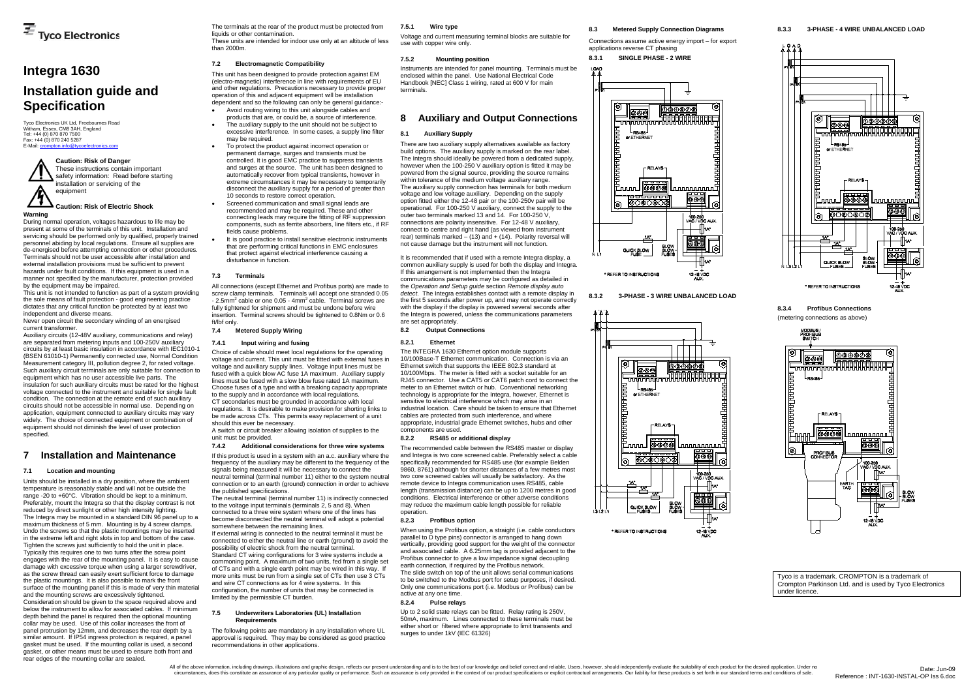Tyco Electronics UK Ltd, Freebournes Road Witham, Essex, CM8 3AH, England Tel: +44 (0) 870 870 7500 Fax: +44 (0) 870 240 5287 E-Mail: cr

# **Integra 1630 Installation guide and Specification**

**Warning** 

Never open circuit the secondary winding of an energised current transformer.

During normal operation, voltages hazardous to life may be present at some of the terminals of this unit. Installation and servicing should be performed only by qualified, properly trained personnel abiding by local regulations. Ensure all supplies are de-energised before attempting connection or other procedures. Terminals should not be user accessible after installation and external installation provisions must be sufficient to prevent hazards under fault conditions. If this equipment is used in a manner not specified by the manufacturer, protection provided by the equipment may be impaired.

This unit is not intended to function as part of a system providing the sole means of fault protection - good engineering practice dictates that any critical function be protected by at least two independent and diverse means.

 Auxiliary circuits (12-48V auxiliary, communications and relay) are separated from metering inputs and 100-250V auxiliary circuits by at least basic insulation in accordance with IEC1010-1 (BSEN 61010-1) Permanently connected use, Normal Condition Measurement category III, pollution degree 2, for rated voltage. Such auxiliary circuit terminals are only suitable for connection to equipment which has no user accessible live parts. The insulation for such auxiliary circuits must be rated for the highest voltage connected to the instrument and suitable for single fault condition. The connection at the remote end of such auxiliary circuits should not be accessible in normal use. Depending on application, equipment connected to auxiliary circuits may vary widely. The choice of connected equipment or combination of equipment should not diminish the level of user protection specified.

# **7 Installation and Maintenance**

#### **7.1 Location and mounting**

Units should be installed in a dry position, where the ambient temperature is reasonably stable and will not be outside the range -20 to +60°C. Vibration should be kept to a minimum. Preferably, mount the Integra so that the display contrast is not reduced by direct sunlight or other high intensity lighting. The Integra may be mounted in a standard DIN 96 panel up to a maximum thickness of 5 mm. Mounting is by 4 screw clamps. Undo the screws so that the plastic mountings may be inserted in the extreme left and right slots in top and bottom of the case. Tighten the screws just sufficiently to hold the unit in place. Typically this requires one to two turns after the screw point engages with the rear of the mounting panel. It is easy to cause damage with excessive torque when using a larger screwdriver, as the screw thread can easily exert sufficient force to damage the plastic mountings. It is also possible to mark the front surface of the mounting panel if this is made of very thin material and the mounting screws are excessively tightened. Consideration should be given to the space required above and below the instrument to allow for associated cables. If minimum depth behind the panel is required then the optional mounting collar may be used. Use of this collar increases the front of panel protrusion by 12mm, and decreases the rear depth by a similar amount. If IP54 ingress protection is required, a panel gasket must be used. If the mounting collar is used, a second gasket, or other means must be used to ensure both front and rear edges of the mounting collar are sealed.

connection or to an earth (ground) connection in order to achieve the published specifications. The neutral terminal (terminal number 11) is indirectly connected

to the voltage input terminals (terminals  $2, 5$  and 8). When connected to a three wire system where one of the lines has become disconnected the neutral terminal will adopt a potential

The terminals at the rear of the product must be protected from liquids or other contamination.

These units are intended for indoor use only at an altitude of less than 2000m.

# **7.2 Electromagnetic Compatibility**

This unit has been designed to provide protection against EM (electro-magnetic) interference in line with requirements of EU and other regulations. Precautions necessary to provide proper operation of this and adjacent equipment will be installation dependent and so the following can only be general guidance:-

- Avoid routing wiring to this unit alongside cables and products that are, or could be, a source of interference.
- The auxiliary supply to the unit should not be subject to excessive interference. In some cases, a supply line filter may be required.
- To protect the product against incorrect operation or permanent damage, surges and transients must be controlled. It is good EMC practice to suppress transients and surges at the source. The unit has been designed to automatically recover from typical transients, however in extreme circumstances it may be necessary to temporarily disconnect the auxiliary supply for a period of greater than 10 seconds to restore correct operation.
- Screened communication and small signal leads are recommended and may be required. These and other connecting leads may require the fitting of RF suppression components, such as ferrite absorbers, line filters etc., if RF fields cause problems.
- It is good practice to install sensitive electronic instruments that are performing critical functions in EMC enclosures that protect against electrical interference causing a disturbance in function.

#### **7.3 Terminals**

All connections (except Ethernet and Profibus ports) are made to screw clamp terminals. Terminals will accept one stranded 0.05  $-$  2.5mm<sup>2</sup> cable or one 0.05  $-$  4mm<sup>2</sup> cable. Terminal screws are fully tightened for shipment and must be undone before wire insertion. Terminal screws should be tightened to 0.8Nm or 0.6 ft/lbf only.

# **7.4 Metered Supply Wiring**

#### **7.4.1 Input wiring and fusing**

Choice of cable should meet local regulations for the operating voltage and current. This unit must be fitted with external fuses in voltage and auxiliary supply lines. Voltage input lines must be fused with a quick blow AC fuse 1A maximum. Auxiliary supply lines must be fused with a slow blow fuse rated 1A maximum. Choose fuses of a type and with a breaking capacity appropriate to the supply and in accordance with local regulations. CT secondaries must be grounded in accordance with local regulations. It is desirable to make provision for shorting links to be made across CTs. This permits easy replacement of a unit should this ever be necessary.

A switch or circuit breaker allowing isolation of supplies to the unit must be provided.

#### **7.4.2 Additional considerations for three wire systems**

If this product is used in a system with an a.c. auxiliary where the frequency of the auxiliary may be different to the frequency of the signals being measured it will be necessary to connect the neutral terminal (terminal number 11) either to the system neutral

somewhere between the remaining lines. If external wiring is connected to the neutral terminal it must be connected to either the neutral line or earth (ground) to avoid the possibility of electric shock from the neutral terminal. Standard CT wiring configurations for 3 wire systems include a commoning point. A maximum of two units, fed from a single set

of CTs and with a single earth point may be wired in this way. If more units must be run from a single set of CTs then use 3 CTs and wire CT connections as for 4 wire systems. In this configuration, the number of units that may be connected is limited by the permissible CT burden.

#### **7.5 Underwriters Laboratories (UL) Installation Requirements**

The following points are mandatory in any installation where UL approval is required. They may be considered as good practice recommendations in other applications.

#### **7.5.1 Wire type**

Voltage and current measuring terminal blocks are suitable for use with copper wire only.

#### **7.5.2 Mounting position**

Instruments are intended for panel mounting. Terminals must be enclosed within the panel. Use National Electrical Code Handbook [NEC] Class 1 wiring, rated at 600 V for main terminals.

# **8 Auxiliary and Output Connections**

### **8.1 Auxiliary Supply**

There are two auxiliary supply alternatives available as factory build options. The auxiliary supply is marked on the rear label. The Integra should ideally be powered from a dedicated supply, however when the 100-250 V auxiliary option is fitted it may be powered from the signal source, providing the source remains within tolerance of the medium voltage auxiliary range. The auxiliary supply connection has terminals for both medium voltage and low voltage auxiliary. Depending on the supply option fitted either the 12-48 pair or the 100-250v pair will be operational. For 100-250 V auxiliary, connect the supply to the outer two terminals marked 13 and 14. For 100-250 V, connections are polarity insensitive. For 12-48 V auxiliary, connect to centre and right hand (as viewed from instrument rear) terminals marked  $-$  (13) and  $+$  (14). Polarity reversal will not cause damage but the instrument will not function.

It is recommended that if used with a remote Integra display, a common auxiliary supply is used for both the display and Integra. If this arrangement is not implemented then the Integra communications parameters may be configured as detailed in the *Operation and Setup guide* section *Remote display auto detect*. The Integra establishes contact with a remote display in the first 5 seconds after power up, and may not operate correctly with the display if the display is powered several seconds after the Integra is powered, unless the communications parameters are set appropriately.

**8.2 Output Connections** 

#### **8.2.1 Ethernet**

The INTEGRA 1630 Ethernet option module supports 10/100Base-T Ethernet communication. Connection is via an Ethernet switch that supports the IEEE 802.3 standard at 10/100Mbps. The meter is fitted with a socket suitable for an RJ45 connector. Use a CAT5 or CAT6 patch cord to connect the meter to an Ethernet switch or hub. Conventional networking technology is appropriate for the Integra, however, Ethernet is sensitive to electrical interference which may arise in an industrial location. Care should be taken to ensure that Ethernet cables are protected from such interference, and where appropriate, industrial grade Ethernet switches, hubs and other components are used.

#### **8.2.2 RS485 or additional display**

The recommended cable between the RS485 master or display and Integra is two core screened cable. Preferably select a cable specifically recommended for RS485 use (for example Belden 9860, 8761) although for shorter distances of a few metres most two core screened cables will usually be satisfactory. As the remote device to Integra communication uses RS485, cable length (transmission distance) can be up to 1200 metres in good conditions. Electrical interference or other adverse conditions may reduce the maximum cable length possible for reliable operation.

#### **8.2.3 Profibus option**

When using the Profibus option, a straight (i.e. cable conductors parallel to D type pins) connector is arranged to hang down vertically, providing good support for the weight of the connector and associated cable. A 6.25mm tag is provided adjacent to the Profibus connector to give a low impedance signal decoupling earth connection, if required by the Profibus network.

The slide switch on top of the unit allows serial communications to be switched to the Modbus port for setup purposes, if desired. Only one communications port (i.e. Modbus *or* Profibus) can be active at any one time.

# **8.2.4 Pulse relays**

Up to 2 solid state relays can be fitted. Relay rating is 250V, 50mA, maximum. Lines connected to these terminals must be either short or filtered where appropriate to limit transients and surges to under 1kV (IEC 61326)

# **8.3 Metered Supply Connection Diagrams**  Connections assume active energy import – for export



**8.3.2 3-PHASE - 3 WIRE UNBALANCED LOAD** 





**8.3.4 Profibus Connections** (metering connections as above)



Tyco is a trademark. CROMPTON is a trademark of Crompton Parkinson Ltd. and is used by Tyco Electronics under licence.

# **Caution: Risk of Danger**

These instructions contain important safety information: Read before starting installation or servicing of the equipment

# **Caution: Risk of Electric Shock**